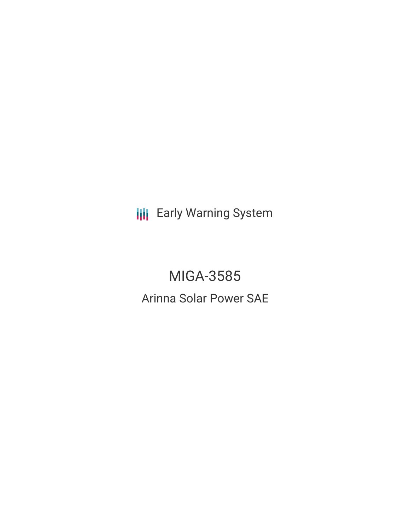**III** Early Warning System

MIGA-3585 Arinna Solar Power SAE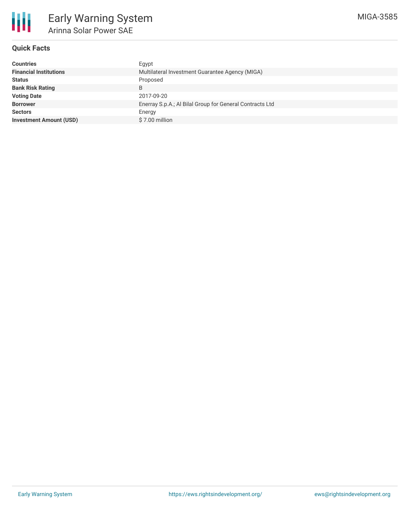

# **Quick Facts**

| <b>Countries</b>               | Eqypt                                                    |
|--------------------------------|----------------------------------------------------------|
| <b>Financial Institutions</b>  | Multilateral Investment Guarantee Agency (MIGA)          |
| <b>Status</b>                  | Proposed                                                 |
| <b>Bank Risk Rating</b>        | B                                                        |
| <b>Voting Date</b>             | 2017-09-20                                               |
| <b>Borrower</b>                | Enerray S.p.A.; Al Bilal Group for General Contracts Ltd |
| <b>Sectors</b>                 | Energy                                                   |
| <b>Investment Amount (USD)</b> | \$7.00 million                                           |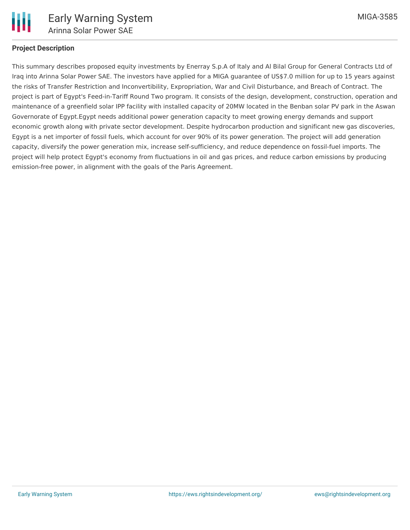

### **Project Description**

This summary describes proposed equity investments by Enerray S.p.A of Italy and Al Bilal Group for General Contracts Ltd of Iraq into Arinna Solar Power SAE. The investors have applied for a MIGA guarantee of US\$7.0 million for up to 15 years against the risks of Transfer Restriction and Inconvertibility, Expropriation, War and Civil Disturbance, and Breach of Contract. The project is part of Egypt's Feed-in-Tariff Round Two program. It consists of the design, development, construction, operation and maintenance of a greenfield solar IPP facility with installed capacity of 20MW located in the Benban solar PV park in the Aswan Governorate of Egypt.Egypt needs additional power generation capacity to meet growing energy demands and support economic growth along with private sector development. Despite hydrocarbon production and significant new gas discoveries, Egypt is a net importer of fossil fuels, which account for over 90% of its power generation. The project will add generation capacity, diversify the power generation mix, increase self-sufficiency, and reduce dependence on fossil-fuel imports. The project will help protect Egypt's economy from fluctuations in oil and gas prices, and reduce carbon emissions by producing emission-free power, in alignment with the goals of the Paris Agreement.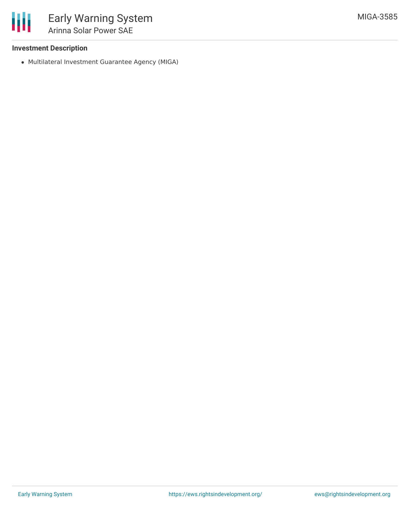# **Investment Description**

Multilateral Investment Guarantee Agency (MIGA)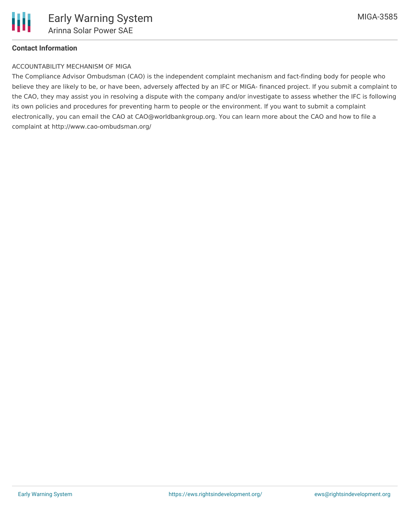

## **Contact Information**

#### ACCOUNTABILITY MECHANISM OF MIGA

The Compliance Advisor Ombudsman (CAO) is the independent complaint mechanism and fact-finding body for people who believe they are likely to be, or have been, adversely affected by an IFC or MIGA- financed project. If you submit a complaint to the CAO, they may assist you in resolving a dispute with the company and/or investigate to assess whether the IFC is following its own policies and procedures for preventing harm to people or the environment. If you want to submit a complaint electronically, you can email the CAO at CAO@worldbankgroup.org. You can learn more about the CAO and how to file a complaint at http://www.cao-ombudsman.org/